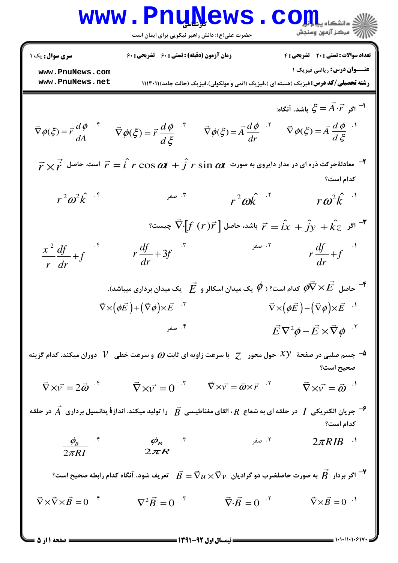| WWW                   | P111.10             | Q11.10              | Q21.10              | Q32.10              |                     |                     |                     |                     |                     |                     |                     |                     |                     |                     |                     |                     |                     |                     |                     |                     |                     |                     |                     |                     |                     |                     |                     |                     |                     |                     |                     |                     |                     |                     |                     |            |
|-----------------------|---------------------|---------------------|---------------------|---------------------|---------------------|---------------------|---------------------|---------------------|---------------------|---------------------|---------------------|---------------------|---------------------|---------------------|---------------------|---------------------|---------------------|---------------------|---------------------|---------------------|---------------------|---------------------|---------------------|---------------------|---------------------|---------------------|---------------------|---------------------|---------------------|---------------------|---------------------|---------------------|---------------------|---------------------|---------------------|------------|
| \n\n $\frac{1}{2}$ \n | \n $\frac{1}{2}$ \n | \n $\frac{1}{2}$ \n | \n $\frac{1}{2}$ \n | \n $\frac{1}{2}$ \n | \n $\frac{1}{2}$ \n | \n $\frac{1}{2}$ \n | \n $\frac{1}{2}$ \n | \n $\frac{1}{2}$ \n | \n $\frac{1}{2}$ \n | \n $\frac{1}{2}$ \n | \n $\frac{1}{2}$ \n | \n $\frac{1}{2}$ \n | \n $\frac{1}{2}$ \n | \n $\frac{1}{2}$ \n | \n $\frac{1}{2}$ \n | \n $\frac{1}{2}$ \n | \n $\frac{1}{2}$ \n | \n $\frac{1}{2}$ \n | \n $\frac{1}{2}$ \n | \n $\frac{1}{2}$ \n | \n $\frac{1}{2}$ \n | \n $\frac{1}{2}$ \n | \n $\frac{1}{2}$ \n | \n $\frac{1}{2}$ \n | \n $\frac{1}{2}$ \n | \n $\frac{1}{2}$ \n | \n $\frac{1}{2}$ \n | \n $\frac{1}{2}$ \n | \n $\frac{1}{2}$ \n | \n $\frac{1}{2}$ \n | \n $\frac{1}{2}$ \n | \n $\frac{1}{2}$ \n | \n $\frac{1}{2}$ \n | \n $\frac{1}{2}$ \n | \n $\frac{1}{2}$ \n | \n $\frac$ |

صفحه ۱ از ۵ =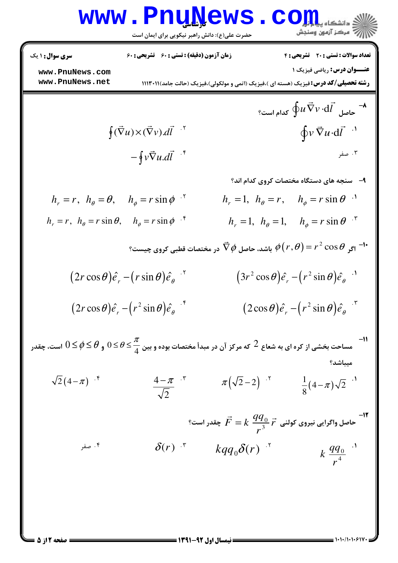|                                                                                                                                      | <u>MMM • FIIÑĨÄGMP</u><br>حضرت علی(ع): دانش راهبر نیکویی برای ایمان است |                                                                                                              | <mark>ی دانشکاه پیا با با</mark> ر<br>رآ - مرڪز آزمون وسنڊش                    |
|--------------------------------------------------------------------------------------------------------------------------------------|-------------------------------------------------------------------------|--------------------------------------------------------------------------------------------------------------|--------------------------------------------------------------------------------|
| <b>سری سوال : ۱ یک</b><br>www.PnuNews.com<br>www.PnuNews.net                                                                         | <b>زمان آزمون (دقیقه) : تستی : 60 ٪ تشریحی : 60</b>                     | <b>رشته تحصیلی/کد درس:</b> فیزیک (هسته ای )،فیزیک (اتمی و مولکولی)،فیزیک (حالت جامد) ۱۱۱۳۰۱۱ (               | تعداد سوالات : تستى : 20 تشريحي : 4<br><b>عنـــوان درس:</b> رياضي فيزيک 1      |
|                                                                                                                                      |                                                                         |                                                                                                              | - حاصل $\vec{\nabla}v\cdot \mathrm{d}\vec{l}$ کدام است؟                        |
|                                                                                                                                      | $\oint (\vec{\nabla} u)\times (\vec{\nabla} v).d\vec{l}$ '              |                                                                                                              | $\oint v \vec{\nabla} u \cdot d\vec{l}$ <sup>.1</sup>                          |
|                                                                                                                                      | $-\oint v\vec{\nabla}u.d\vec{l}$ .*                                     |                                                                                                              | ۰۳ صفر                                                                         |
|                                                                                                                                      |                                                                         |                                                                                                              | ۹- سنجه های دستگاه مختصات کروی کدام اند؟                                       |
| $h_r = r$ , $h_\theta = \theta$ , $h_\phi = r \sin \phi$ .                                                                           |                                                                         | $h_r = 1$ , $h_\theta = r$ , $h_\phi = r \sin \theta$ .                                                      |                                                                                |
| $h_r = r$ , $h_\theta = r \sin \theta$ , $h_\phi = r \sin \phi$ .                                                                    |                                                                         |                                                                                                              | $h_r = 1$ , $h_\theta = 1$ , $h_\phi = r \sin \theta$ <sup>5</sup>             |
|                                                                                                                                      |                                                                         | باشد، حاصل $\nabla\phi$ در مختصات قطبی کروی چیست؟ $\phi\big(r,\theta\big)=r^2\cos\theta$ باشد، حاصل $^{-1*}$ |                                                                                |
|                                                                                                                                      | $(2r\cos\theta)\hat{e}_r-(r\sin\theta)\hat{e}_\theta$ <sup>'</sup>      |                                                                                                              | $(3r^2 \cos \theta) \hat{e}_r - (r^2 \sin \theta) \hat{e}_\theta$ <sup>.</sup> |
|                                                                                                                                      | $(2r\cos\theta)\hat{e}_r - (r^2\sin\theta)\hat{e}_\theta$ <sup>*</sup>  |                                                                                                              | $(2\cos\theta)\hat{e}_r - (r^2\sin\theta)\hat{e}_\theta$ .                     |
| مساحت بخشی از کره ای به شعاع $2$ که مرکز آن در مبدأ مختصات بوده و بین $\frac{\pi}{4}\leq \theta \leq \theta \leq 0 \leq 0$ است، چقدر |                                                                         |                                                                                                              | ميباشد؟                                                                        |
| $\sqrt{2}(4-\pi)^{-5}$                                                                                                               | $\frac{4-\pi}{\sqrt{2}}$ *                                              | $\pi(\sqrt{2}-2)$ $\cdot$ <sup>r</sup>                                                                       | $\frac{1}{8}(4-\pi)\sqrt{2}$ <sup></sup>                                       |
|                                                                                                                                      |                                                                         | ا -۱۲ ماصل واگرایی نیروی کولنی $\vec{r} = k \; \dfrac{q q_{0}}{r^{3}}$ چقدر است؟                             |                                                                                |
| ۰۴ صفر                                                                                                                               | $\delta(r)$ $\mathbf{F}$                                                | $kqq_0\delta(r)$ $\cdot$ <sup>r</sup>                                                                        | $k \frac{qq_0}{r^4}$                                                           |
|                                                                                                                                      |                                                                         |                                                                                                              |                                                                                |

 $1 - 1 - 11 - 1 - 9$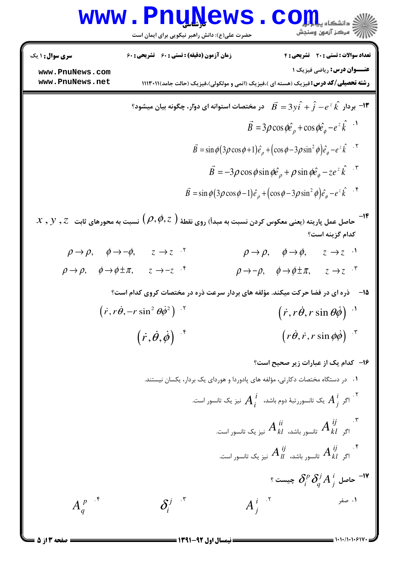|                                                                                                                                  | www.PnuNews<br>حضرت علی(ع): دانش راهبر نیکویی برای ایمان است                                                                                                                                                                                           |                                                                                                                                                                                                                                                                                                                                                                             | ی دانشکاه پ <b>یابایل</b><br>سنجش آزمون وسنجش                                                                                                                                                             |
|----------------------------------------------------------------------------------------------------------------------------------|--------------------------------------------------------------------------------------------------------------------------------------------------------------------------------------------------------------------------------------------------------|-----------------------------------------------------------------------------------------------------------------------------------------------------------------------------------------------------------------------------------------------------------------------------------------------------------------------------------------------------------------------------|-----------------------------------------------------------------------------------------------------------------------------------------------------------------------------------------------------------|
| <b>سری سوال : ۱ یک</b><br>www.PnuNews.com<br>www.PnuNews.net                                                                     | <b>زمان آزمون (دقیقه) : تستی : 60 ٪ تشریحی : 60</b>                                                                                                                                                                                                    |                                                                                                                                                                                                                                                                                                                                                                             | تعداد سوالات : تستى : 20 - تشريحي : 4<br><b>عنــوان درس:</b> رياضي فيزيک 1<br><b>رشته تحصیلی/کد درس:</b> فیزیک (هسته ای )،فیزیک (اتمی و مولکولی)،فیزیک (حالت جامد)۱۱۳۰۱۱ (۱                               |
|                                                                                                                                  | ا بردار $\hat{f} - e^z \hat{k}$ بردار $\hat{f} - \hat{f} - 3y \hat{i} + 3y \hat{i} + 3y \hat{j}$ در مختصات استوانه ای دوّار، چگونه بیان میشود $\blacksquare$                                                                                           | $\vec{B} = \sin \phi (3\rho \cos \phi + 1)\hat{e}_{\rho} + (\cos \phi - 3\rho \sin^2 \phi)\hat{e}_{\phi} - e^{z}\hat{k}$ .<br>$\vec{B} = -3\rho\cos\phi\sin\phi\hat{e}_{\rho} + \rho\sin\phi\hat{e}_{\phi} - ze^{z}\hat{k}$ <sup>.</sup><br>$\vec{B} = \sin \phi (3\rho \cos \phi - 1)\hat{e}_{\rho} + (\cos \phi - 3\rho \sin^2 \phi)\hat{e}_{\phi} - e^{\lambda \hat{k}}$ | $\vec{B} = 3\rho\cos\phi\hat{e}_{\rho} + \cos\phi\hat{e}_{\phi} - e^{z}\hat{k}$ <sup>1</sup>                                                                                                              |
| $\rho \rightarrow \rho, \hspace{0.5cm} \phi \rightarrow -\phi,$<br>$\rho \rightarrow \rho, \quad \phi \rightarrow \phi \pm \pi,$ | $x$ , $y$ , $z$ حاصل عمل پاریته (یعنی معکوس کردن نسبت به مبدأ) روی نقطهٔ $(\rho,\phi,z)$ نسبت به محورهای ثابت $z$ , $z$<br>$z \rightarrow z$ .<br>$z \rightarrow -z$ .*<br>ذره ای در فضا حرکت میکند. مؤلفه های بردار سرعت ذره در مختصات کروی کدام است؟ | $\rho \rightarrow \rho, \quad \phi \rightarrow \phi,$<br>$\rho \mathbin{\rightarrow} -\rho, \hspace{0.5cm} \phi \mathbin{\rightarrow} \phi \pm \pi,$                                                                                                                                                                                                                        | كدام گزينه است؟<br>$z \rightarrow z$ <sup>1</sup><br>$z \rightarrow z$ $\cdot$ $\cdot$<br>-15                                                                                                             |
|                                                                                                                                  | $(\vec{r}, r\dot{\theta}, -r\sin^2\theta\dot{\phi}^2)^{-1}$<br>$(\vec{r}, \dot{\theta}, \dot{\phi})$ if                                                                                                                                                |                                                                                                                                                                                                                                                                                                                                                                             | $\left(\vec{r},\vec{r\theta},\vec{r}\sin\theta\dot{\phi}\right)$ <sup>.</sup><br>$\left(r\dot{\theta},\dot{r},r\sin\phi\dot{\phi}\right)^{-1}$                                                            |
|                                                                                                                                  |                                                                                                                                                                                                                                                        | ۰۱ در دستگاه مختصات دکارتی، مؤلفه های پادوردا و هوردای یک بردار، یکسان نیستند.<br>اگر $A_{\ i}^{\ i}$ یک تانسوررتبهٔ دوم باشد، $A_{i}^{\ i}$ نیز یک تانسور است. $\,$<br>اگر $A^{~ij}_{kl}$ تانسور باشد، $A^{~ii}_{kl}$ نیز یک تانسور است. $\qquad$                                                                                                                          | ۱۶– کدام یک از عبارات زیر صحیح است؟<br>اگر $A^{\;ij}_{kl}$ تانسور باشد، $A^{\;ij}_{ll}$ نیز یک تانسور است. $^{\dagger}$<br>$^{\circ}$ حاصل $\partial^p_i\,\partial^j_q A^{\,i}_{\,j}$ چیست $^{-{\sf IV}}$ |
| $A_q^{p}$ <sup>*</sup><br><b>صفحه 3 از 5 =</b>                                                                                   | $\delta_i^{j}$ $\cdot$ <sup>r</sup><br>= نیمسال اول 92-1391 =                                                                                                                                                                                          | $A_i^{i}$ $\cdot$ <sup>r</sup>                                                                                                                                                                                                                                                                                                                                              | ۰۱ صفر                                                                                                                                                                                                    |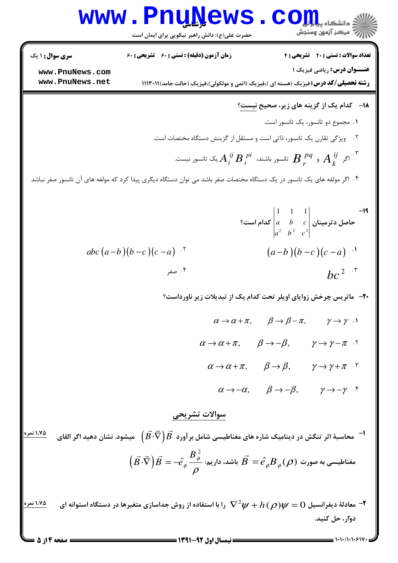## WWW.PnuNews.com

حضرت علی(ع): دانش راهبر نیکویی برای ایمان است

**تعداد سوالات : تستي : 20 ٪ تشريحي : 4** 

زمان آزمون (دقیقه) : تستی : ۶۰٪ تشریحی : ۶۰

**عنــوان درس: رياضي فيزيک ١** 

**رشته تحصیلی/کد درس:**فیزیک (هسته ای )،فیزیک (اتمی و مولکولی)،فیزیک (حالت جامد) ۱۱۱۳۰۱۱ (

www.PnuNews.com www.PnuNews.net

<mark>سری سوال :</mark> ۱ یک

$$
A_i^{\ ij}B_i^{\ p i}
$$
تانسور باشند،  $A_i^{\ ij}B_i^{\ p i}$ تالسور نیست.

۰۴ اگر مولفه های یک تانسور در یک دستگاه مختصات صفر باشد می توان دستگاه دیگری پیدا کرد که مولفه های آن تانسور صفر نباشد

\n The image shows a linear equation is given by:\n 
$$
\begin{vmatrix}\n 1 & 1 & 1 \\
a & b & c \\
a^2 & b^2 & c^2\n \end{vmatrix}
$$
\n

\n\n The image shows a linear equation is:\n  $\begin{vmatrix}\n 1 & 1 & 1 \\
a & b & c \\
a^2 & b^2 & c^2\n \end{vmatrix}$ \n

\n\n The image shows a linear equation is:\n  $\begin{vmatrix}\n 1 & 1 & 1 \\
a & b & c \\
a^2 & b^2 & c^2\n \end{vmatrix}$ \n

\n\n The image shows a linear equation is:\n  $\begin{vmatrix}\n 1 & 1 & 1 \\
a^2 & b^2 & c^2\n \end{vmatrix}$ \n

\n\n The image shows a linear equation is:\n  $\begin{vmatrix}\n 1 & 1 & 1 \\
a^2 & b^2 & c^2\n \end{vmatrix}$ \n

\n\n The image shows a linear equation is:\n  $\begin{vmatrix}\n 1 & 1 & 1 \\
a^2 & b^2 & c^2\n \end{vmatrix}$ \n

\n\n The image shows a linear equation is:\n  $\begin{vmatrix}\n 1 & 1 & 1 \\
a^2 & b^2 & c^2\n \end{vmatrix}$ \n

\n\n The image shows a linear equation is:\n  $\begin{vmatrix}\n 1 & 1 & 1 \\
a^2 & b^2 & c^2\n \end{vmatrix}$ \n

\n\n The image shows a linear equation is:\n  $\begin{vmatrix}\n 1 & 1 & 1 \\
1 & 2 & c^2\n \end{vmatrix}$ \n

\n\n The image shows a linear equation is:\n  $\begin{vmatrix}\n 1 & 1 & 1 \\
1 & 2 & c^2\n \end{vmatrix}$ \n

\n\n The image shows a linear equation is:\n  $\begin{vmatrix}\n 1 & 1 & 1 \\
1 & 2 & c^2\n \end{vmatrix}$ \n

\n\n The image shows a linear equation is:\n  $\begin{vmatrix}\n$ 

**۲۰** ماتریس چرخش زوایای اویلر تحت کدام یک از تبدیلات زیر ناورداست؟

- $\alpha \rightarrow \alpha + \pi$ ,  $\beta \rightarrow \beta \pi$ ,  $\gamma \rightarrow \gamma$ .
- $\alpha \rightarrow \alpha + \pi$ ,  $\beta \rightarrow -\beta$ ,  $\gamma \rightarrow \gamma \pi$ .
	- $\alpha \to \alpha + \pi$ ,  $\beta \to \beta$ ,  $\gamma \to \gamma + \pi$ .
		- $\alpha \rightarrow -\alpha$ ,  $\beta \rightarrow -\beta$ ,  $\gamma \rightarrow -\gamma$  f

سوالات تشريحي

<u>۱،۷۵ نمره</u> محاسبهٔ اثر تنگش در دینامیک شاره های مغناطیسی شامل بر آورد  $\vec{B}\cdot\vec{\nabla}\bigl(\vec{B}\cdot\vec{\nabla}\bigr)$  میشود. نشان دهید اگر القای  $^{-1}$  $\vec{B} = -\hat{e}_{\phi} \frac{B_{\phi}^2}{\rho}$  مغناطیسی به صورت  $\vec{B} = \hat{e}_{\phi} B_{\phi}(\rho)$  باشد، داریم: ۱،۷۵ نمر ه معادلهٔ دیفرانسیل  $\bm{W} = \bm{V}$  وا با استفاده از روش جداسازی متغیرها در دستگاه استوانه ای  $\bm{\nabla}^2\bm{\nu} + h$  را با استفاده از روش جداسازی متغیرها در دستگاه استوانه ای دوار، حل کنید.

صفحه ۱۴ز ۵ =

 $= 1.1111.5114$